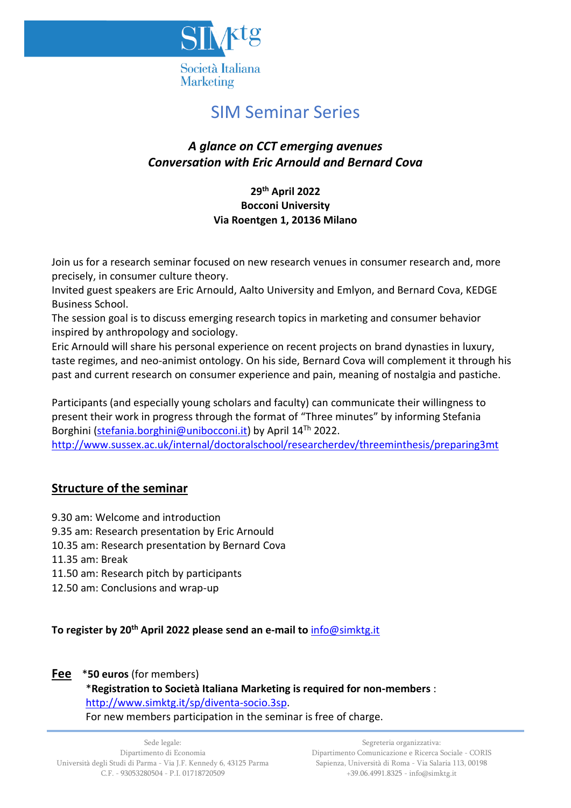

# SIM Seminar Series

# *A glance on CCT emerging avenues Conversation with Eric Arnould and Bernard Cova*

### **29th April 2022 Bocconi University Via Roentgen 1, 20136 Milano**

Join us for a research seminar focused on new research venues in consumer research and, more precisely, in consumer culture theory.

Invited guest speakers are Eric Arnould, Aalto University and Emlyon, and Bernard Cova, KEDGE Business School.

The session goal is to discuss emerging research topics in marketing and consumer behavior inspired by anthropology and sociology.

Eric Arnould will share his personal experience on recent projects on brand dynasties in luxury, taste regimes, and neo-animist ontology. On his side, Bernard Cova will complement it through his past and current research on consumer experience and pain, meaning of nostalgia and pastiche.

Participants (and especially young scholars and faculty) can communicate their willingness to present their work in progress through the format of "Three minutes" by informing Stefania Borghini [\(stefania.borghini@unibocconi.it\)](mailto:stefania.borghini@unibocconi.it) by April 14Th 2022. [http://www.sussex.ac.uk/internal/doctoralschool/researcherdev/threeminthesis/preparing3mt](https://eur03.safelinks.protection.outlook.com/?url=http%3A%2F%2Fwww.sussex.ac.uk%2Finternal%2Fdoctoralschool%2Fresearcherdev%2Fthreeminthesis%2Fpreparing3mt&data=04%7C01%7Cstefania.borghini%40unibocconi.it%7C84ab9064dca34069e71508d9da9b1882%7C6bf3b57a9fb447c29ada51156518f52f%7C1%7C0%7C637781181940083210%7CUnknown%7CTWFpbGZsb3d8eyJWIjoiMC4wLjAwMDAiLCJQIjoiV2luMzIiLCJBTiI6Ik1haWwiLCJXVCI6Mn0%3D%7C3000&sdata=jkJA4M%2BH%2Fs5WRv20xpJN%2FslVjsdRx67%2FNuTnkqZWwWc%3D&reserved=0)

# **Structure of the seminar**

9.30 am: Welcome and introduction

9.35 am: Research presentation by Eric Arnould

- 10.35 am: Research presentation by Bernard Cova
- 11.35 am: Break
- 11.50 am: Research pitch by participants
- 12.50 am: Conclusions and wrap-up

**To register by 20th April 2022 please send an e-mail to** [info@simktg.it](mailto:info@simktg.it)

#### **Fee** \***50 euros** (for members)

#### \***Registration to Società Italiana Marketing is required for non-members** : [http://www.simktg.it/sp/diventa-socio.3sp.](http://www.simktg.it/sp/diventa-socio.3sp) For new members participation in the seminar is free of charge.